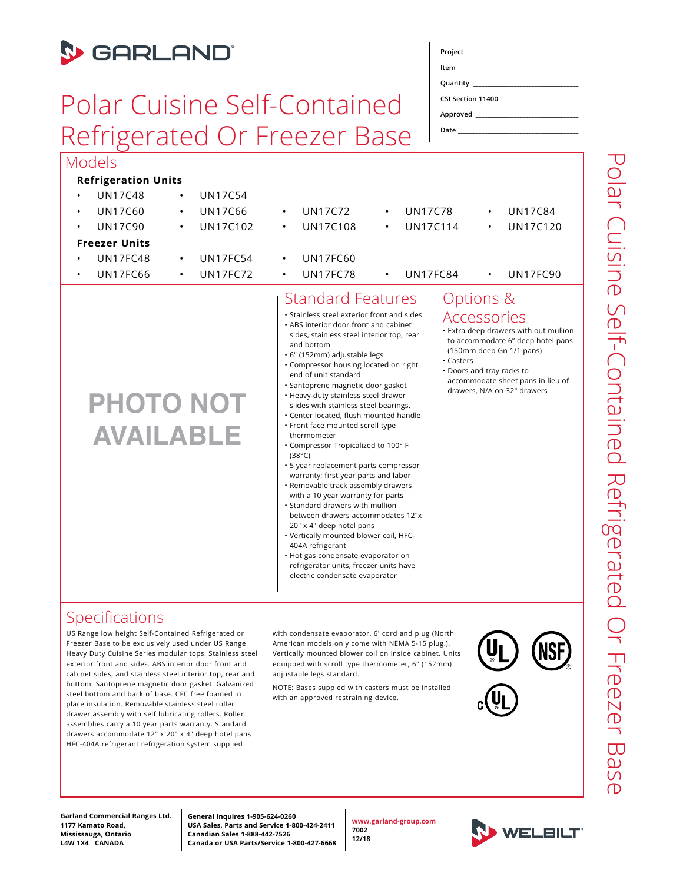

#### Specifications

US Range low height Self-Contained Refrigerated or Freezer Base to be exclusively used under US Range Heavy Duty Cuisine Series modular tops. Stainless steel exterior front and sides. ABS interior door front and cabinet sides, and stainless steel interior top, rear and bottom. Santoprene magnetic door gasket. Galvanized steel bottom and back of base. CFC free foamed in place insulation. Removable stainless steel roller drawer assembly with self lubricating rollers. Roller assemblies carry a 10 year parts warranty. Standard drawers accommodate 12" x 20" x 4" deep hotel pans HFC-404A refrigerant refrigeration system supplied

with condensate evaporator. 6' cord and plug (North American models only come with NEMA 5-15 plug.). Vertically mounted blower coil on inside cabinet. Units equipped with scroll type thermometer, 6" (152mm) adjustable legs standard.

NOTE: Bases suppled with casters must be installed with an approved restraining device.





Polar Cuisine Self-Contained Refrigerated Or Freezer Base Polar Cuisine Self-Contained Refrigerated Or Freezer Basi

**Garland Commercial Ranges Ltd. 1177 Kamato Road, Mississauga, Ontario L4W 1X4 CANADA**

**General Inquires 1-905-624-0260 USA Sales, Parts and Service 1-800-424-2411 Canadian Sales 1-888-442-7526 Canada or USA Parts/Service 1-800-427-6668**

**www.garland-group.com 7002 12/18**

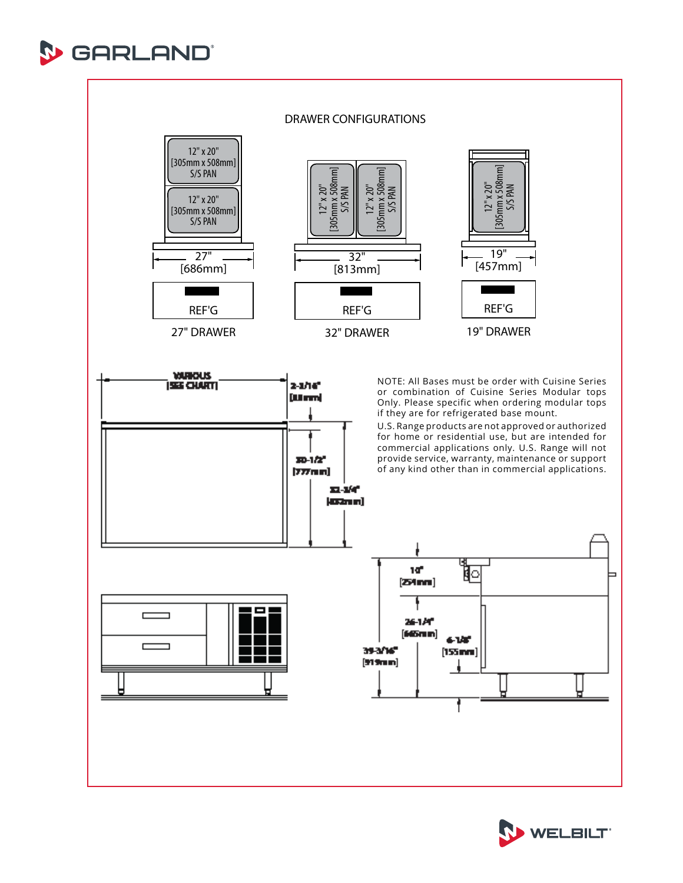



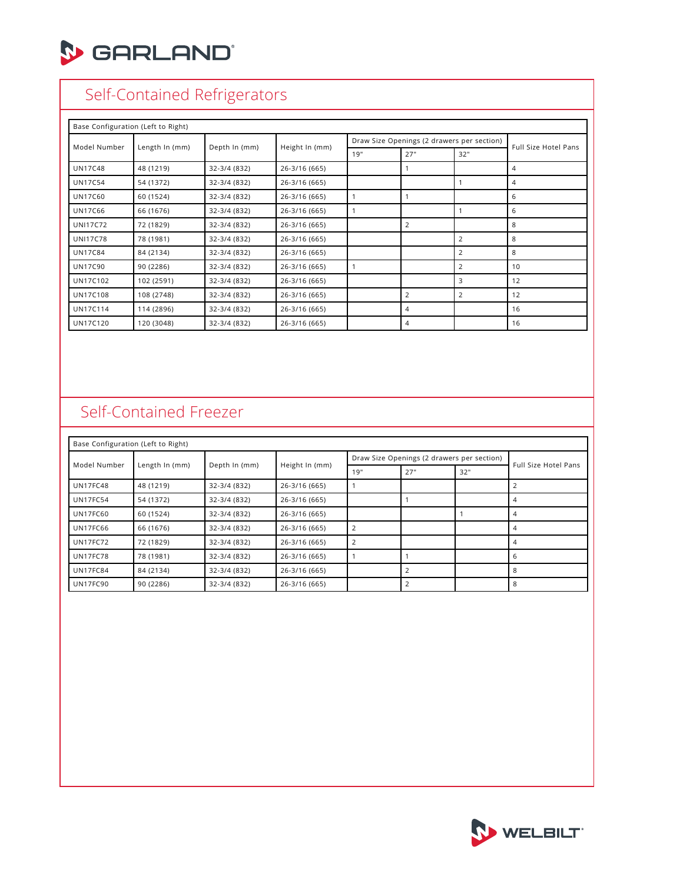

# Self-Contained Refrigerators

| Base Configuration (Left to Right) |                |               |                |     |                                            |     |                      |  |
|------------------------------------|----------------|---------------|----------------|-----|--------------------------------------------|-----|----------------------|--|
| Model Number                       | Length In (mm) | Depth In (mm) |                |     | Draw Size Openings (2 drawers per section) |     |                      |  |
|                                    |                |               | Height In (mm) | 19" | 27"                                        | 32" | Full Size Hotel Pans |  |
| <b>UN17C48</b>                     | 48 (1219)      | 32-3/4 (832)  | 26-3/16 (665)  |     |                                            |     | 4                    |  |
| <b>UN17C54</b>                     | 54 (1372)      | 32-3/4 (832)  | 26-3/16 (665)  |     |                                            |     | 4                    |  |
| <b>UN17C60</b>                     | 60 (1524)      | 32-3/4 (832)  | 26-3/16 (665)  |     |                                            |     | 6                    |  |
| <b>UN17C66</b>                     | 66 (1676)      | 32-3/4 (832)  | 26-3/16 (665)  |     |                                            |     | 6                    |  |
| <b>UNI17C72</b>                    | 72 (1829)      | 32-3/4 (832)  | 26-3/16 (665)  |     | 2                                          |     | 8                    |  |
| <b>UNI17C78</b>                    | 78 (1981)      | 32-3/4 (832)  | 26-3/16 (665)  |     |                                            | 2   | 8                    |  |
| <b>UN17C84</b>                     | 84 (2134)      | 32-3/4 (832)  | 26-3/16 (665)  |     |                                            | 2   | 8                    |  |
| <b>UN17C90</b>                     | 90 (2286)      | 32-3/4 (832)  | 26-3/16 (665)  |     |                                            | 2   | 10                   |  |
| UN17C102                           | 102 (2591)     | 32-3/4 (832)  | 26-3/16 (665)  |     |                                            | 3   | 12                   |  |
| <b>UN17C108</b>                    | 108 (2748)     | 32-3/4 (832)  | 26-3/16 (665)  |     | $\overline{2}$                             | 2   | 12                   |  |
| <b>UN17C114</b>                    | 114 (2896)     | 32-3/4 (832)  | 26-3/16 (665)  |     | 4                                          |     | 16                   |  |
| <b>UN17C120</b>                    | 120 (3048)     | 32-3/4 (832)  | 26-3/16 (665)  |     | $\overline{4}$                             |     | 16                   |  |

# Self-Contained Freezer

| Base Configuration (Left to Right) |                |               |                |                                            |                |     |                      |  |
|------------------------------------|----------------|---------------|----------------|--------------------------------------------|----------------|-----|----------------------|--|
| Model Number                       | Length In (mm) | Depth In (mm) |                | Draw Size Openings (2 drawers per section) |                |     |                      |  |
|                                    |                |               | Height In (mm) | 19"                                        | 27"            | 32" | Full Size Hotel Pans |  |
| <b>UN17FC48</b>                    | 48 (1219)      | 32-3/4 (832)  | 26-3/16 (665)  |                                            |                |     |                      |  |
| <b>UN17FC54</b>                    | 54 (1372)      | 32-3/4 (832)  | 26-3/16 (665)  |                                            |                |     | 4                    |  |
| <b>UN17FC60</b>                    | 60 (1524)      | 32-3/4 (832)  | 26-3/16 (665)  |                                            |                |     |                      |  |
| <b>UN17FC66</b>                    | 66 (1676)      | 32-3/4 (832)  | 26-3/16 (665)  |                                            |                |     | 4                    |  |
| <b>UN17FC72</b>                    | 72 (1829)      | 32-3/4 (832)  | 26-3/16 (665)  |                                            |                |     |                      |  |
| <b>UN17FC78</b>                    | 78 (1981)      | 32-3/4 (832)  | 26-3/16 (665)  |                                            |                |     | 6                    |  |
| <b>UN17FC84</b>                    | 84 (2134)      | 32-3/4 (832)  | 26-3/16 (665)  |                                            | $\overline{2}$ |     | 8                    |  |
| <b>UN17FC90</b>                    | 90 (2286)      | 32-3/4 (832)  | 26-3/16 (665)  |                                            |                |     | 8                    |  |